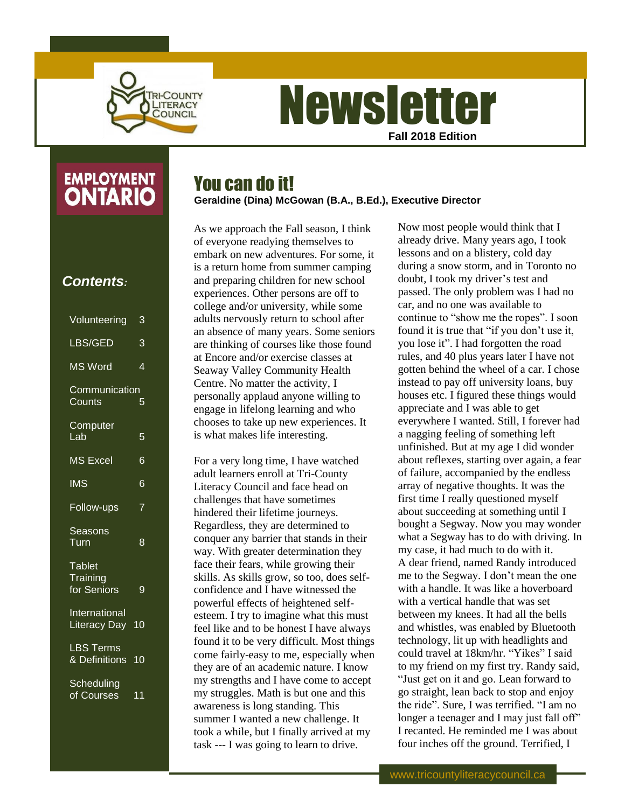

# **Newsletter Fall 2018 Edition**

## **EMPLOYMENT ONTARIO**

### *Contents:*

| Volunteering                             | 3                        |
|------------------------------------------|--------------------------|
| LBS/GED                                  | 3                        |
| MS Word                                  | $\overline{\mathcal{A}}$ |
| Communication<br>Counts                  | 5                        |
| Computer<br>Lab                          | 5                        |
| MS Excel                                 | 6                        |
| <b>IMS</b>                               | 6                        |
| Follow-ups                               | 7                        |
| Seasons<br>Turn                          | 8                        |
| <b>Tablet</b><br>Training<br>for Seniors | 9                        |
| <b>International</b><br>Literacy Day     | 10                       |
| <b>LBS Terms</b><br>& Definitions 10     |                          |
| Scheduling<br>of Courses                 | 11                       |

## You can do it!

**Geraldine (Dina) McGowan (B.A., B.Ed.), Executive Director**

As we approach the Fall season, I think of everyone readying themselves to embark on new adventures. For some, it is a return home from summer camping and preparing children for new school experiences. Other persons are off to college and/or university, while some adults nervously return to school after an absence of many years. Some seniors are thinking of courses like those found at Encore and/or exercise classes at Seaway Valley Community Health Centre. No matter the activity, I personally applaud anyone willing to engage in lifelong learning and who chooses to take up new experiences. It is what makes life interesting.

For a very long time, I have watched adult learners enroll at Tri-County Literacy Council and face head on challenges that have sometimes hindered their lifetime journeys. Regardless, they are determined to conquer any barrier that stands in their way. With greater determination they face their fears, while growing their skills. As skills grow, so too, does selfconfidence and I have witnessed the powerful effects of heightened selfesteem. I try to imagine what this must feel like and to be honest I have always found it to be very difficult. Most things come fairly-easy to me, especially when they are of an academic nature. I know my strengths and I have come to accept my struggles. Math is but one and this awareness is long standing. This summer I wanted a new challenge. It took a while, but I finally arrived at my task --- I was going to learn to drive.

Now most people would think that I already drive. Many years ago, I took lessons and on a blistery, cold day during a snow storm, and in Toronto no doubt, I took my driver's test and passed. The only problem was I had no car, and no one was available to continue to "show me the ropes". I soon found it is true that "if you don't use it, you lose it". I had forgotten the road rules, and 40 plus years later I have not gotten behind the wheel of a car. I chose instead to pay off university loans, buy houses etc. I figured these things would appreciate and I was able to get everywhere I wanted. Still, I forever had a nagging feeling of something left unfinished. But at my age I did wonder about reflexes, starting over again, a fear of failure, accompanied by the endless array of negative thoughts. It was the first time I really questioned myself about succeeding at something until I bought a Segway. Now you may wonder what a Segway has to do with driving. In my case, it had much to do with it. A dear friend, named Randy introduced me to the Segway. I don't mean the one with a handle. It was like a hoverboard with a vertical handle that was set between my knees. It had all the bells and whistles, was enabled by Bluetooth technology, lit up with headlights and could travel at 18km/hr. "Yikes" I said to my friend on my first try. Randy said, "Just get on it and go. Lean forward to go straight, lean back to stop and enjoy the ride". Sure, I was terrified. "I am no longer a teenager and I may just fall off" I recanted. He reminded me I was about four inches off the ground. Terrified, I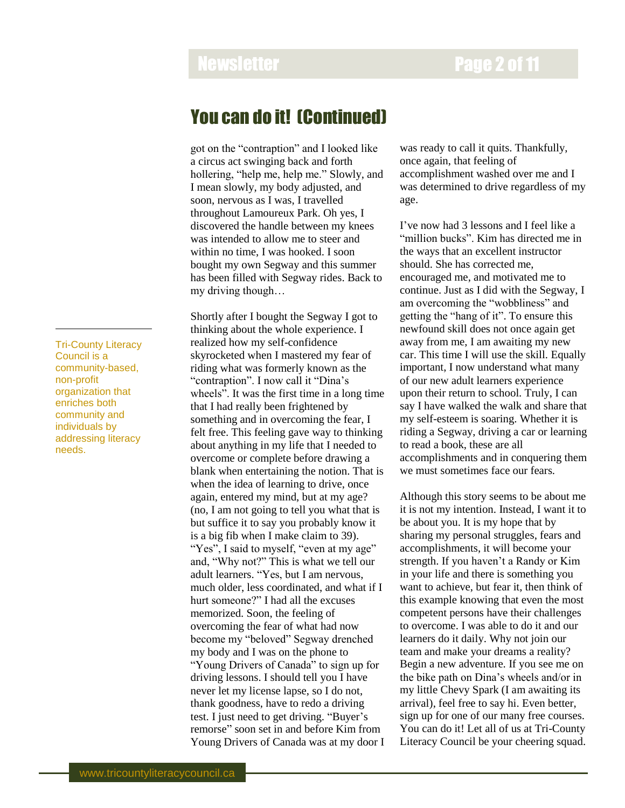### You can do it! (Continued)

got on the "contraption" and I looked like a circus act swinging back and forth hollering, "help me, help me." Slowly, and I mean slowly, my body adjusted, and soon, nervous as I was, I travelled throughout Lamoureux Park. Oh yes, I discovered the handle between my knees was intended to allow me to steer and within no time, I was hooked. I soon bought my own Segway and this summer has been filled with Segway rides. Back to my driving though…

Shortly after I bought the Segway I got to thinking about the whole experience. I realized how my self-confidence skyrocketed when I mastered my fear of riding what was formerly known as the "contraption". I now call it "Dina's wheels". It was the first time in a long time that I had really been frightened by something and in overcoming the fear, I felt free. This feeling gave way to thinking about anything in my life that I needed to overcome or complete before drawing a blank when entertaining the notion. That is when the idea of learning to drive, once again, entered my mind, but at my age? (no, I am not going to tell you what that is but suffice it to say you probably know it is a big fib when I make claim to 39). "Yes", I said to myself, "even at my age" and, "Why not?" This is what we tell our adult learners. "Yes, but I am nervous, much older, less coordinated, and what if I hurt someone?" I had all the excuses memorized. Soon, the feeling of overcoming the fear of what had now become my "beloved" Segway drenched my body and I was on the phone to "Young Drivers of Canada" to sign up for driving lessons. I should tell you I have never let my license lapse, so I do not, thank goodness, have to redo a driving test. I just need to get driving. "Buyer's remorse" soon set in and before Kim from Young Drivers of Canada was at my door I

was ready to call it quits. Thankfully, once again, that feeling of accomplishment washed over me and I was determined to drive regardless of my age.

I've now had 3 lessons and I feel like a "million bucks". Kim has directed me in the ways that an excellent instructor should. She has corrected me, encouraged me, and motivated me to continue. Just as I did with the Segway, I am overcoming the "wobbliness" and getting the "hang of it". To ensure this newfound skill does not once again get away from me, I am awaiting my new car. This time I will use the skill. Equally important, I now understand what many of our new adult learners experience upon their return to school. Truly, I can say I have walked the walk and share that my self-esteem is soaring. Whether it is riding a Segway, driving a car or learning to read a book, these are all accomplishments and in conquering them we must sometimes face our fears.

Although this story seems to be about me it is not my intention. Instead, I want it to be about you. It is my hope that by sharing my personal struggles, fears and accomplishments, it will become your strength. If you haven't a Randy or Kim in your life and there is something you want to achieve, but fear it, then think of this example knowing that even the most competent persons have their challenges to overcome. I was able to do it and our learners do it daily. Why not join our team and make your dreams a reality? Begin a new adventure. If you see me on the bike path on Dina's wheels and/or in my little Chevy Spark (I am awaiting its arrival), feel free to say hi. Even better, sign up for one of our many free courses. You can do it! Let all of us at Tri-County Literacy Council be your cheering squad.

Tri-County Literacy Council is a community-based, non-profit organization that enriches both community and individuals by addressing literacy needs.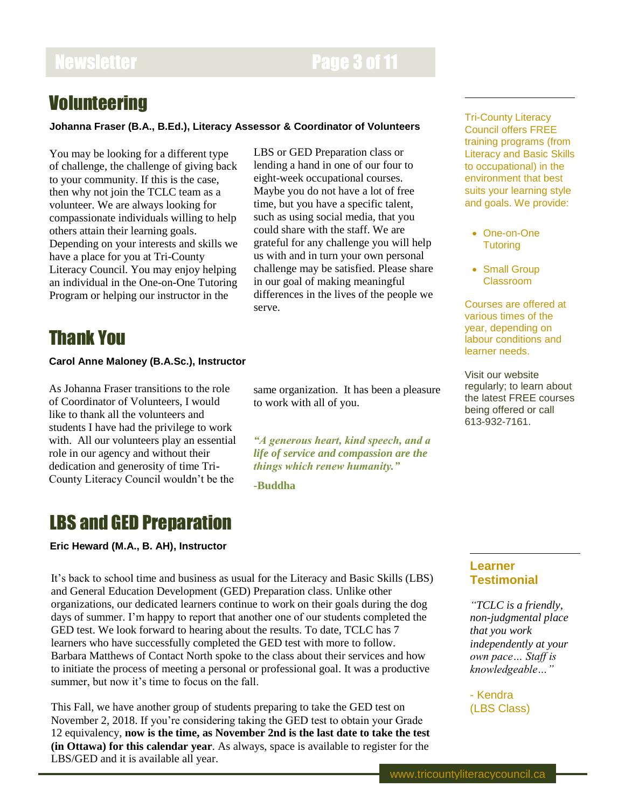# Newsletter **Page 3 of 11**

LBS or GED Preparation class or lending a hand in one of our four to eight-week occupational courses. Maybe you do not have a lot of free time, but you have a specific talent, such as using social media, that you could share with the staff. We are grateful for any challenge you will help us with and in turn your own personal challenge may be satisfied. Please share in our goal of making meaningful differences in the lives of the people we

same organization. It has been a pleasure

*"A generous heart, kind speech, and a life of service and compassion are the things which renew humanity."*

to work with all of you.

**-Buddha**

serve.

# **Volunteering**

### **Johanna Fraser (B.A., B.Ed.), Literacy Assessor & Coordinator of Volunteers**

You may be looking for a different type of challenge, the challenge of giving back to your community. If this is the case, then why not join the TCLC team as a volunteer. We are always looking for compassionate individuals willing to help others attain their learning goals. Depending on your interests and skills we have a place for you at Tri-County Literacy Council. You may enjoy helping an individual in the One-on-One Tutoring Program or helping our instructor in the

Thank You

### **Carol Anne Maloney (B.A.Sc.), Instructor**

As Johanna Fraser transitions to the role of Coordinator of Volunteers, I would like to thank all the volunteers and students I have had the privilege to work with. All our volunteers play an essential role in our agency and without their dedication and generosity of time Tri-County Literacy Council wouldn't be the

### LBS and GED Preparation

**Eric Heward (M.A., B. AH), Instructor**

It's back to school time and business as usual for the Literacy and Basic Skills (LBS) and General Education Development (GED) Preparation class. Unlike other organizations, our dedicated learners continue to work on their goals during the dog days of summer. I'm happy to report that another one of our students completed the GED test. We look forward to hearing about the results. To date, TCLC has 7 learners who have successfully completed the GED test with more to follow. Barbara Matthews of Contact North spoke to the class about their services and how to initiate the process of meeting a personal or professional goal. It was a productive summer, but now it's time to focus on the fall.

This Fall, we have another group of students preparing to take the GED test on November 2, 2018. If you're considering taking the GED test to obtain your Grade 12 equivalency, **now is the time, as November 2nd is the last date to take the test (in Ottawa) for this calendar year**. As always, space is available to register for the LBS/GED and it is available all year.

Tri-County Literacy Council offers FREE training programs (from Literacy and Basic Skills to occupational) in the environment that best suits your learning style and goals. We provide:

- One-on-One **Tutoring**
- Small Group Classroom

Courses are offered at various times of the year, depending on labour conditions and learner needs.

Visit our website regularly; to learn about the latest FREE courses being offered or call 613-932-7161.

**Learner Testimonial**

*"TCLC is a friendly, non-judgmental place that you work independently at your own pace… Staff is knowledgeable…"*

- Kendra (LBS Class)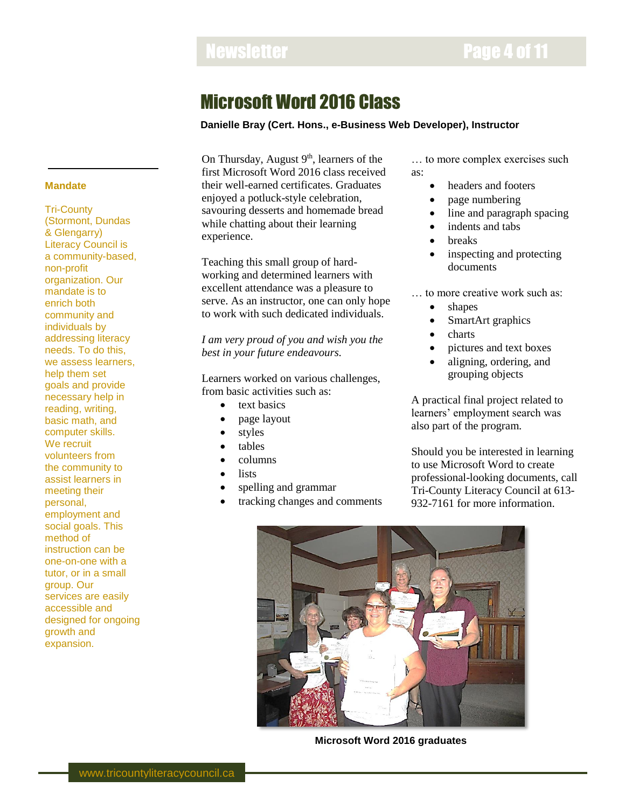# Microsoft Word 2016 Class

### **Danielle Bray (Cert. Hons., e-Business Web Developer), Instructor**

On Thursday, August 9<sup>th</sup>, learners of the first Microsoft Word 2016 class received their well-earned certificates. Graduates enjoyed a potluck-style celebration, savouring desserts and homemade bread while chatting about their learning experience.

Teaching this small group of hardworking and determined learners with excellent attendance was a pleasure to serve. As an instructor, one can only hope to work with such dedicated individuals.

*I am very proud of you and wish you the best in your future endeavours.*

Learners worked on various challenges, from basic activities such as:

- text basics
- page layout
- styles
- tables
- columns
- lists
- spelling and grammar
- tracking changes and comments

… to more complex exercises such as:

- headers and footers
- page numbering
- line and paragraph spacing
- indents and tabs
- breaks
- inspecting and protecting documents

… to more creative work such as:

- shapes
- SmartArt graphics
- charts
- pictures and text boxes
- aligning, ordering, and grouping objects

A practical final project related to learners' employment search was also part of the program.

Should you be interested in learning to use Microsoft Word to create professional-looking documents, call Tri-County Literacy Council at 613- 932-7161 for more information.



**Microsoft Word 2016 graduates**

### **Mandate**

Tri-County (Stormont, Dundas & Glengarry) Literacy Council is a community-based, non-profit organization. Our mandate is to enrich both community and individuals by addressing literacy needs. To do this, we assess learners, help them set goals and provide necessary help in reading, writing, basic math, and computer skills. We recruit volunteers from the community to assist learners in meeting their personal, employment and social goals. This method of instruction can be one-on-one with a tutor, or in a small group. Our services are easily accessible and designed for ongoing growth and expansion.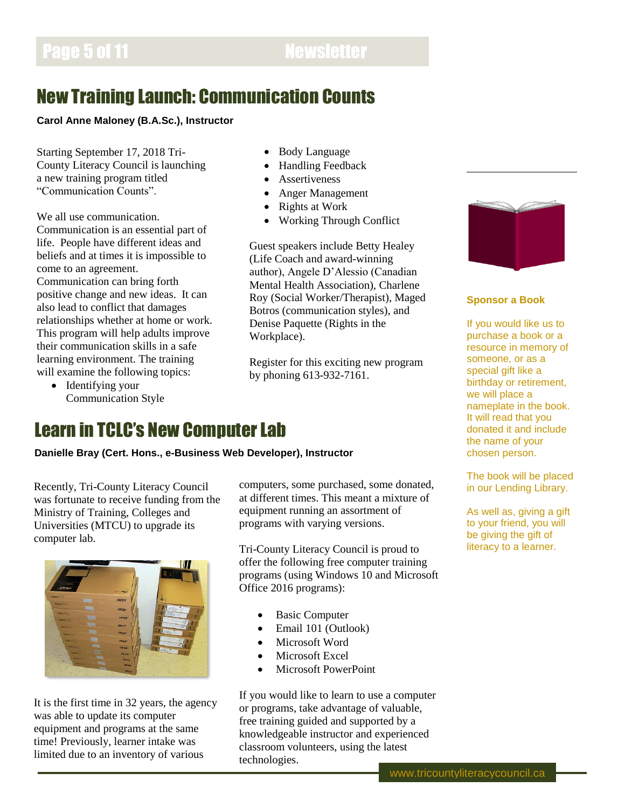# New Training Launch: Communication Counts

### **Carol Anne Maloney (B.A.Sc.), Instructor**

Starting September 17, 2018 Tri-County Literacy Council is launching a new training program titled "Communication Counts".

We all use communication. Communication is an essential part of life. People have different ideas and beliefs and at times it is impossible to come to an agreement. Communication can bring forth positive change and new ideas. It can also lead to conflict that damages relationships whether at home or work. This program will help adults improve their communication skills in a safe learning environment. The training will examine the following topics:

• Identifying your Communication Style

- Body Language
- Handling Feedback
- Assertiveness
- Anger Management
- Rights at Work
- Working Through Conflict

Guest speakers include Betty Healey (Life Coach and award-winning author), Angele D'Alessio (Canadian Mental Health Association), Charlene Roy (Social Worker/Therapist), Maged Botros (communication styles), and Denise Paquette (Rights in the Workplace).

Register for this exciting new program by phoning 613-932-7161.



**Danielle Bray (Cert. Hons., e-Business Web Developer), Instructor**

Recently, Tri-County Literacy Council was fortunate to receive funding from the Ministry of Training, Colleges and Universities (MTCU) to upgrade its computer lab.



It is the first time in 32 years, the agency was able to update its computer equipment and programs at the same time! Previously, learner intake was limited due to an inventory of various

computers, some purchased, some donated, at different times. This meant a mixture of equipment running an assortment of programs with varying versions.

Tri-County Literacy Council is proud to offer the following free computer training programs (using Windows 10 and Microsoft Office 2016 programs):

- Basic Computer
- Email 101 (Outlook)
- Microsoft Word
- Microsoft Excel
- Microsoft PowerPoint

If you would like to learn to use a computer or programs, take advantage of valuable, free training guided and supported by a knowledgeable instructor and experienced classroom volunteers, using the latest technologies.



### **Sponsor a Book**

If you would like us to purchase a book or a resource in memory of someone, or as a special gift like a birthday or retirement, we will place a nameplate in the book. It will read that you donated it and include the name of your chosen person.

The book will be placed in our Lending Library.

As well as, giving a gift to your friend, you will be giving the gift of literacy to a learner.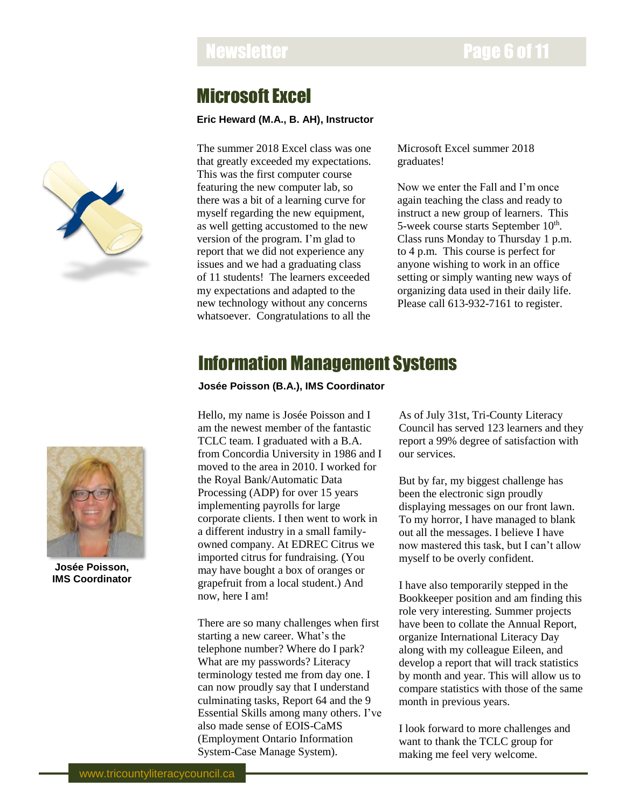# Newsletter **Page 6 of 11**

## Microsoft Excel

### **Eric Heward (M.A., B. AH), Instructor**

The summer 2018 Excel class was one that greatly exceeded my expectations. This was the first computer course featuring the new computer lab, so there was a bit of a learning curve for myself regarding the new equipment, as well getting accustomed to the new version of the program. I'm glad to report that we did not experience any issues and we had a graduating class of 11 students! The learners exceeded my expectations and adapted to the new technology without any concerns whatsoever. Congratulations to all the

Microsoft Excel summer 2018 graduates!

Now we enter the Fall and I'm once again teaching the class and ready to instruct a new group of learners. This 5-week course starts September 10<sup>th</sup>. Class runs Monday to Thursday 1 p.m. to 4 p.m. This course is perfect for anyone wishing to work in an office setting or simply wanting new ways of organizing data used in their daily life. Please call 613-932-7161 to register.

# Information Management Systems

**Josée Poisson (B.A.), IMS Coordinator**

Hello, my name is Josée Poisson and I am the newest member of the fantastic TCLC team. I graduated with a B.A. from Concordia University in 1986 and I moved to the area in 2010. I worked for the Royal Bank/Automatic Data Processing (ADP) for over 15 years implementing payrolls for large corporate clients. I then went to work in a different industry in a small familyowned company. At EDREC Citrus we imported citrus for fundraising. (You may have bought a box of oranges or grapefruit from a local student.) And now, here I am!

There are so many challenges when first starting a new career. What's the telephone number? Where do I park? What are my passwords? Literacy terminology tested me from day one. I can now proudly say that I understand culminating tasks, Report 64 and the 9 Essential Skills among many others. I've also made sense of EOIS-CaMS (Employment Ontario Information System-Case Manage System).

As of July 31st, Tri-County Literacy Council has served 123 learners and they report a 99% degree of satisfaction with our services.

But by far, my biggest challenge has been the electronic sign proudly displaying messages on our front lawn. To my horror, I have managed to blank out all the messages. I believe I have now mastered this task, but I can't allow myself to be overly confident.

I have also temporarily stepped in the Bookkeeper position and am finding this role very interesting. Summer projects have been to collate the Annual Report, organize International Literacy Day along with my colleague Eileen, and develop a report that will track statistics by month and year. This will allow us to compare statistics with those of the same month in previous years.

I look forward to more challenges and want to thank the TCLC group for making me feel very welcome.





**Josée Poisson, IMS Coordinator**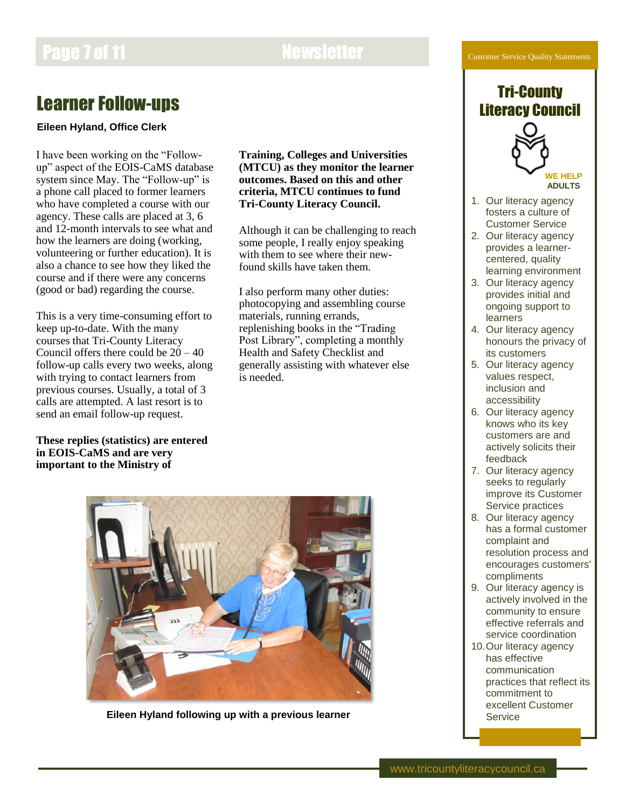### Customer Service Quality Statements

# Page 7 of 11 Newsletter

# Learner Follow-ups

### **Eileen Hyland, Office Clerk**

I have been working on the "Followup" aspect of the EOIS-CaMS database system since May. The "Follow-up" is a phone call placed to former learners who have completed a course with our agency. These calls are placed at 3, 6 and 12-month intervals to see what and how the learners are doing (working, volunteering or further education). It is also a chance to see how they liked the course and if there were any concerns (good or bad) regarding the course.

This is a very time-consuming effort to keep up-to-date. With the many courses that Tri-County Literacy Council offers there could be  $20 - 40$ follow-up calls every two weeks, along with trying to contact learners from previous courses. Usually, a total of 3 calls are attempted. A last resort is to send an email follow-up request.

**These replies (statistics) are entered in EOIS-CaMS and are very important to the Ministry of** 

**Training, Colleges and Universities (MTCU) as they monitor the learner outcomes. Based on this and other criteria, MTCU continues to fund Tri-County Literacy Council.**

Although it can be challenging to reach some people, I really enjoy speaking with them to see where their newfound skills have taken them.

I also perform many other duties: photocopying and assembling course materials, running errands, replenishing books in the "Trading Post Library", completing a monthly Health and Safety Checklist and generally assisting with whatever else is needed.



**Eileen Hyland following up with a previous learner**

### Tri-County Literacy Council



**WE HELP ADULTS**

- 1. Our literacy agency fosters a culture of Customer Service
- 2. Our literacy agency provides a learnercentered, quality learning environment
- 3. Our literacy agency provides initial and ongoing support to learners
- 4. Our literacy agency honours the privacy of its customers
- 5. Our literacy agency values respect, inclusion and accessibility
- 6. Our literacy agency knows who its key customers are and actively solicits their feedback
- 7. Our literacy agency seeks to regularly improve its Customer Service practices
- 8. Our literacy agency has a formal customer complaint and resolution process and encourages customers' compliments
- 9. Our literacy agency is actively involved in the community to ensure effective referrals and service coordination
- 10.Our literacy agency has effective communication practices that reflect its commitment to excellent Customer Service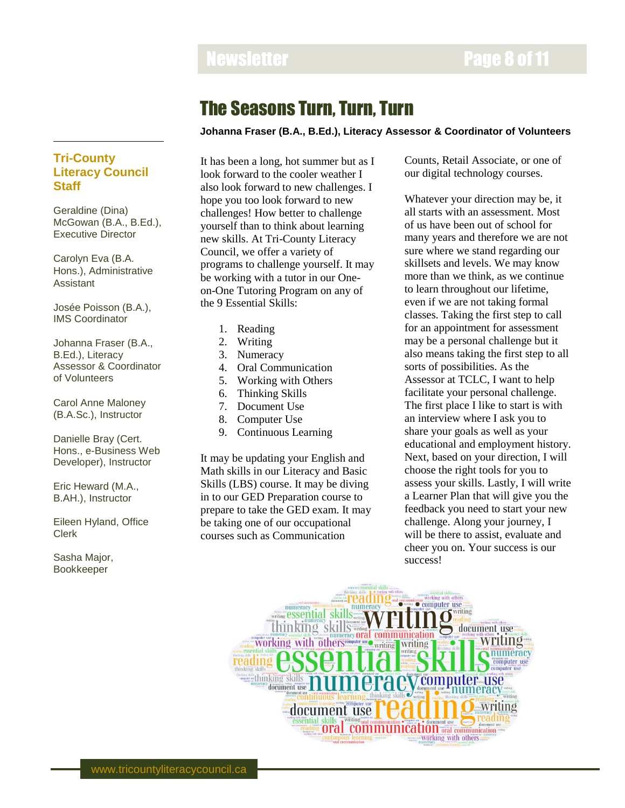## The Seasons Turn, Turn, Turn

### **Johanna Fraser (B.A., B.Ed.), Literacy Assessor & Coordinator of Volunteers**

### **Tri-County Literacy Council Staff**

Geraldine (Dina) McGowan (B.A., B.Ed.), Executive Director

Carolyn Eva (B.A. Hons.), Administrative Assistant

Josée Poisson (B.A.), IMS Coordinator

Johanna Fraser (B.A., B.Ed.), Literacy Assessor & Coordinator of Volunteers

Carol Anne Maloney (B.A.Sc.), Instructor

Danielle Bray (Cert. Hons., e-Business Web Developer), Instructor

Eric Heward (M.A., B.AH.), Instructor

Eileen Hyland, Office Clerk

Sasha Major, Bookkeeper

It has been a long, hot summer but as I look forward to the cooler weather I also look forward to new challenges. I hope you too look forward to new challenges! How better to challenge yourself than to think about learning new skills. At Tri-County Literacy Council, we offer a variety of programs to challenge yourself. It may be working with a tutor in our Oneon-One Tutoring Program on any of the 9 Essential Skills:

- 1. Reading
- 2. Writing
- 3. Numeracy
- 4. Oral Communication
- 5. Working with Others
- 6. Thinking Skills
- 7. Document Use
- 8. Computer Use
- 9. Continuous Learning

It may be updating your English and Math skills in our Literacy and Basic Skills (LBS) course. It may be diving in to our GED Preparation course to prepare to take the GED exam. It may be taking one of our occupational courses such as Communication

Counts, Retail Associate, or one of our digital technology courses.

Whatever your direction may be, it all starts with an assessment. Most of us have been out of school for many years and therefore we are not sure where we stand regarding our skillsets and levels. We may know more than we think, as we continue to learn throughout our lifetime, even if we are not taking formal classes. Taking the first step to call for an appointment for assessment may be a personal challenge but it also means taking the first step to all sorts of possibilities. As the Assessor at TCLC, I want to help facilitate your personal challenge. The first place I like to start is with an interview where I ask you to share your goals as well as your educational and employment history. Next, based on your direction, I will choose the right tools for you to assess your skills. Lastly, I will write a Learner Plan that will give you the feedback you need to start your new challenge. Along your journey, I will be there to assist, evaluate and cheer you on. Your success is our success!

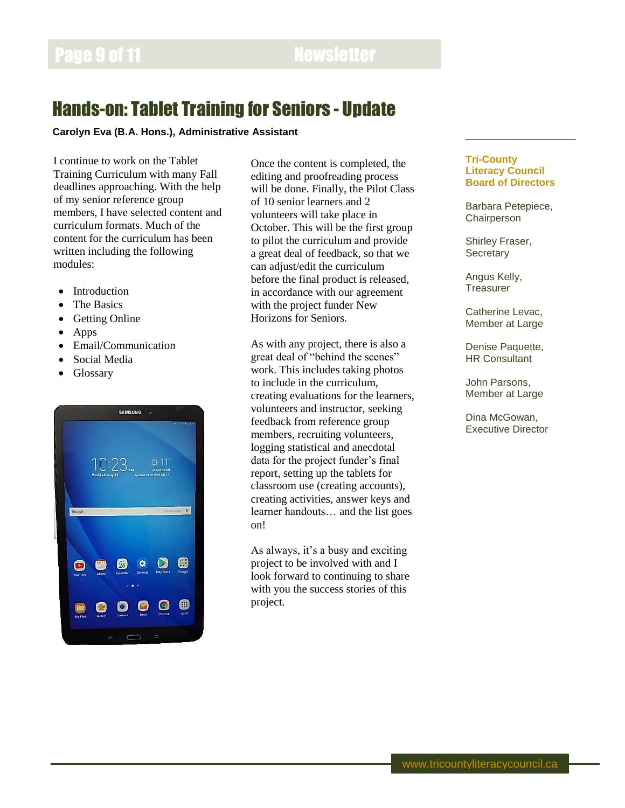# Hands-on: Tablet Training for Seniors - Update

### **Carolyn Eva (B.A. Hons.), Administrative Assistant**

I continue to work on the Tablet Training Curriculum with many Fall deadlines approaching. With the help of my senior reference group members, I have selected content and curriculum formats. Much of the content for the curriculum has been written including the following modules:

- Introduction
- The Basics
- Getting Online
- Apps
- Email/Communication
- Social Media
- Glossary



Once the content is completed, the editing and proofreading process will be done. Finally, the Pilot Class of 10 senior learners and 2 volunteers will take place in October. This will be the first group to pilot the curriculum and provide a great deal of feedback, so that we can adjust/edit the curriculum before the final product is released, in accordance with our agreement with the project funder New Horizons for Seniors.

As with any project, there is also a great deal of "behind the scenes" work. This includes taking photos to include in the curriculum, creating evaluations for the learners, volunteers and instructor, seeking feedback from reference group members, recruiting volunteers, logging statistical and anecdotal data for the project funder's final report, setting up the tablets for classroom use (creating accounts), creating activities, answer keys and learner handouts… and the list goes on!

As always, it's a busy and exciting project to be involved with and I look forward to continuing to share with you the success stories of this project.

### **Tri-County Literacy Council Board of Directors**

Barbara Petepiece, **Chairperson** 

Shirley Fraser, **Secretary** 

Angus Kelly, **Treasurer** 

Catherine Levac, Member at Large

Denise Paquette, HR Consultant

John Parsons, Member at Large

Dina McGowan, Executive Director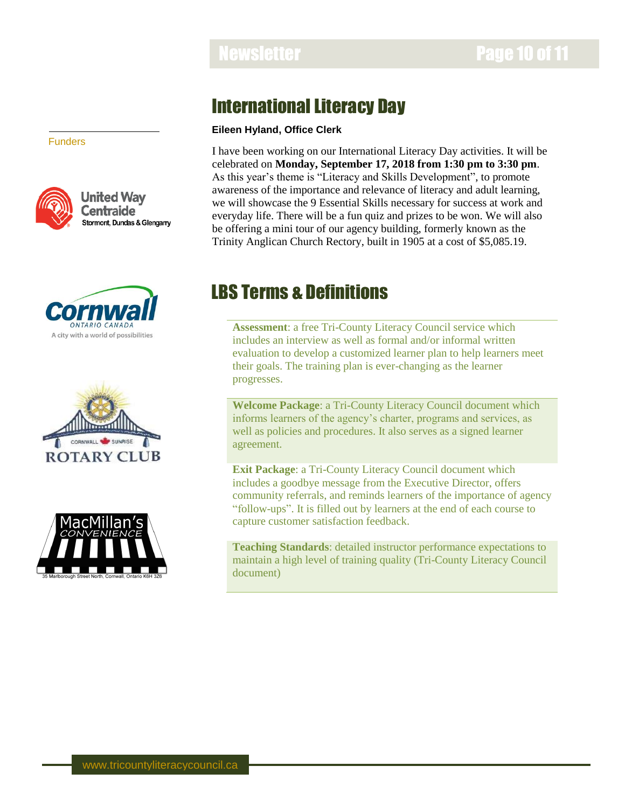# International Literacy Day

### **Eileen Hyland, Office Clerk**

I have been working on our International Literacy Day activities. It will be celebrated on **Monday, September 17, 2018 from 1:30 pm to 3:30 pm**. As this year's theme is "Literacy and Skills Development", to promote awareness of the importance and relevance of literacy and adult learning, we will showcase the 9 Essential Skills necessary for success at work and everyday life. There will be a fun quiz and prizes to be won. We will also be offering a mini tour of our agency building, formerly known as the Trinity Anglican Church Rectory, built in 1905 at a cost of \$5,085.19.

# LBS Terms & Definitions

**Assessment**: a free Tri-County Literacy Council service which includes an interview as well as formal and/or informal written evaluation to develop a customized learner plan to help learners meet their goals. The training plan is ever-changing as the learner progresses.

**Welcome Package**: a Tri-County Literacy Council document which informs learners of the agency's charter, programs and services, as well as policies and procedures. It also serves as a signed learner agreement.

**Exit Package**: a Tri-County Literacy Council document which includes a goodbye message from the Executive Director, offers community referrals, and reminds learners of the importance of agency "follow-ups". It is filled out by learners at the end of each course to capture customer satisfaction feedback.

**Teaching Standards**: detailed instructor performance expectations to maintain a high level of training quality (Tri-County Literacy Council document)

Funders